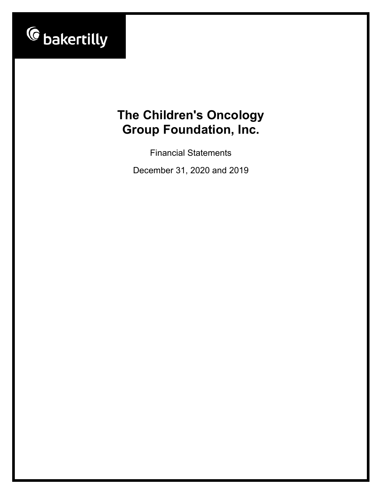

Financial Statements

December 31, 2020 and 2019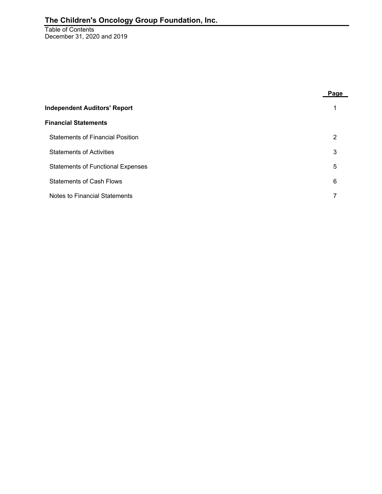Table of Contents December 31, 2020 and 2019

|                                          | <b>Page</b> |
|------------------------------------------|-------------|
| <b>Independent Auditors' Report</b>      |             |
| <b>Financial Statements</b>              |             |
| <b>Statements of Financial Position</b>  | 2           |
| <b>Statements of Activities</b>          | 3           |
| <b>Statements of Functional Expenses</b> | 5           |
| <b>Statements of Cash Flows</b>          | 6           |
| Notes to Financial Statements            |             |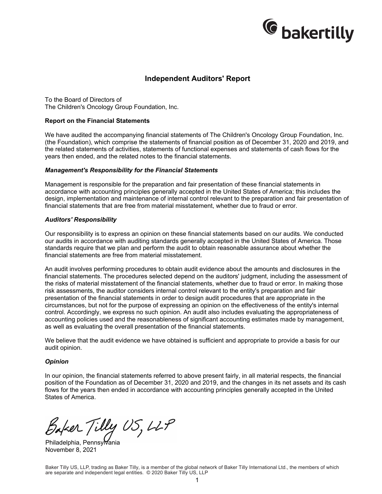

### **Independent Auditors' Report**

To the Board of Directors of The Children's Oncology Group Foundation, Inc.

#### **Report on the Financial Statements**

We have audited the accompanying financial statements of The Children's Oncology Group Foundation, Inc. (the Foundation), which comprise the statements of financial position as of December 31, 2020 and 2019, and the related statements of activities, statements of functional expenses and statements of cash flows for the years then ended, and the related notes to the financial statements.

#### *Management's Responsibility for the Financial Statements*

Management is responsible for the preparation and fair presentation of these financial statements in accordance with accounting principles generally accepted in the United States of America; this includes the design, implementation and maintenance of internal control relevant to the preparation and fair presentation of financial statements that are free from material misstatement, whether due to fraud or error.

#### *Auditors' Responsibility*

Our responsibility is to express an opinion on these financial statements based on our audits. We conducted our audits in accordance with auditing standards generally accepted in the United States of America. Those standards require that we plan and perform the audit to obtain reasonable assurance about whether the financial statements are free from material misstatement.

An audit involves performing procedures to obtain audit evidence about the amounts and disclosures in the financial statements. The procedures selected depend on the auditors' judgment, including the assessment of the risks of material misstatement of the financial statements, whether due to fraud or error. In making those risk assessments, the auditor considers internal control relevant to the entity's preparation and fair presentation of the financial statements in order to design audit procedures that are appropriate in the circumstances, but not for the purpose of expressing an opinion on the effectiveness of the entity's internal control. Accordingly, we express no such opinion. An audit also includes evaluating the appropriateness of accounting policies used and the reasonableness of significant accounting estimates made by management, as well as evaluating the overall presentation of the financial statements.

We believe that the audit evidence we have obtained is sufficient and appropriate to provide a basis for our audit opinion.

#### *Opinion*

In our opinion, the financial statements referred to above present fairly, in all material respects, the financial position of the Foundation as of December 31, 2020 and 2019, and the changes in its net assets and its cash flows for the years then ended in accordance with accounting principles generally accepted in the United States of America.

Baker Tilly US, LLP<br>Philadelphia, Pennsylvania

November 8, 2021

Baker Tilly US, LLP, trading as Baker Tilly, is a member of the global network of Baker Tilly International Ltd., the members of which are separate and independent legal entities. © 2020 Baker Tilly US, LLP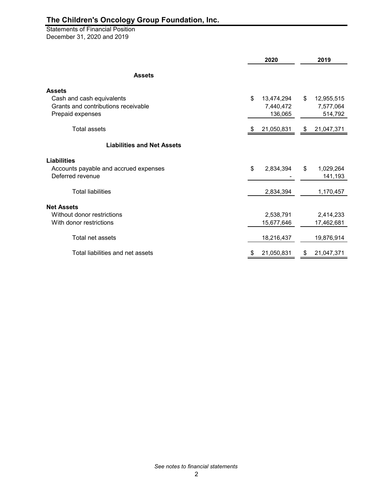Statements of Financial Position December 31, 2020 and 2019

|                                       | 2020             | 2019             |  |
|---------------------------------------|------------------|------------------|--|
| <b>Assets</b>                         |                  |                  |  |
| <b>Assets</b>                         |                  |                  |  |
| Cash and cash equivalents             | \$<br>13,474,294 | \$<br>12,955,515 |  |
| Grants and contributions receivable   | 7,440,472        | 7,577,064        |  |
| Prepaid expenses                      | 136,065          | 514,792          |  |
| <b>Total assets</b>                   | 21,050,831       | 21,047,371<br>\$ |  |
| <b>Liabilities and Net Assets</b>     |                  |                  |  |
| <b>Liabilities</b>                    |                  |                  |  |
| Accounts payable and accrued expenses | \$<br>2,834,394  | \$<br>1,029,264  |  |
| Deferred revenue                      |                  | 141,193          |  |
| <b>Total liabilities</b>              | 2,834,394        | 1,170,457        |  |
|                                       |                  |                  |  |
| <b>Net Assets</b>                     |                  |                  |  |
| Without donor restrictions            | 2,538,791        | 2,414,233        |  |
| With donor restrictions               | 15,677,646       | 17,462,681       |  |
| Total net assets                      | 18,216,437       | 19,876,914       |  |
| Total liabilities and net assets      | 21,050,831<br>\$ | \$<br>21,047,371 |  |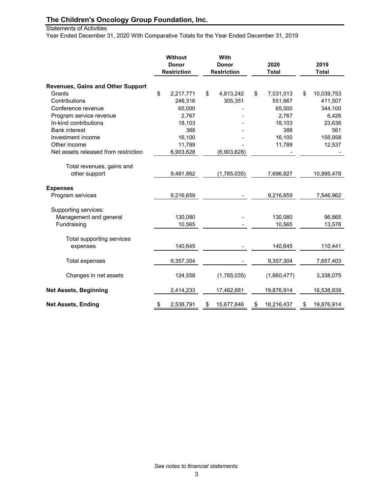### Statements of Activities

Year Ended December 31, 2020 With Comparative Totals for the Year Ended December 31, 2019

|                                          | Without<br><b>Donor</b><br><b>Restriction</b> |           | With<br><b>Donor</b><br><b>Restriction</b> | 2020<br><b>Total</b> |    | 2019<br><b>Total</b> |
|------------------------------------------|-----------------------------------------------|-----------|--------------------------------------------|----------------------|----|----------------------|
| <b>Revenues, Gains and Other Support</b> |                                               |           |                                            |                      |    |                      |
| Grants                                   | \$                                            | 2,217,771 | \$<br>4,813,242                            | \$<br>7,031,013      | \$ | 10,039,753           |
| Contributions                            |                                               | 246,316   | 305,351                                    | 551,667              |    | 411,507              |
| Conference revenue                       |                                               | 65,000    |                                            | 65,000               |    | 344,100              |
| Program service revenue                  |                                               | 2,767     |                                            | 2,767                |    | 6,426                |
| In-kind contributions                    |                                               | 18,103    |                                            | 18,103               |    | 23,636               |
| <b>Bank interest</b>                     |                                               | 388       |                                            | 388                  |    | 561                  |
| Investment income                        |                                               | 16,100    |                                            | 16,100               |    | 156,958              |
| Other income                             |                                               | 11,789    |                                            | 11,789               |    | 12,537               |
| Net assets released from restriction     |                                               | 6,903,628 | (6,903,628)                                |                      |    |                      |
| Total revenues, gains and                |                                               |           |                                            |                      |    |                      |
| other support                            |                                               | 9,481,862 | (1,785,035)                                | 7,696,827            |    | 10,995,478           |
| <b>Expenses</b>                          |                                               |           |                                            |                      |    |                      |
| Program services                         |                                               | 9,216,659 |                                            | 9,216,659            |    | 7,546,962            |
| Supporting services:                     |                                               |           |                                            |                      |    |                      |
| Management and general                   |                                               | 130,080   |                                            | 130,080              |    | 96,865               |
| Fundraising                              |                                               | 10,565    |                                            | 10,565               |    | 13,576               |
| Total supporting services                |                                               |           |                                            |                      |    |                      |
| expenses                                 |                                               | 140,645   |                                            | 140,645              |    | 110,441              |
| <b>Total expenses</b>                    |                                               | 9,357,304 |                                            | 9,357,304            |    | 7,657,403            |
| Changes in net assets                    |                                               | 124,558   | (1,785,035)                                | (1,660,477)          |    | 3,338,075            |
| <b>Net Assets, Beginning</b>             |                                               | 2,414,233 | 17,462,681                                 | 19,876,914           |    | 16,538,839           |
| <b>Net Assets, Ending</b>                | \$                                            | 2,538,791 | \$<br>15,677,646                           | \$<br>18,216,437     | \$ | 19,876,914           |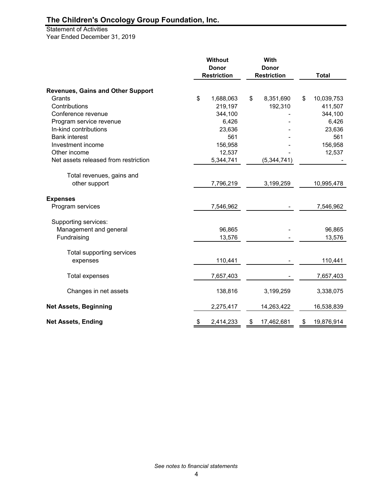Statement of Activities

Year Ended December 31, 2019

|                                          | <b>Without</b><br><b>Donor</b><br><b>Restriction</b> |           | With<br><b>Donor</b><br><b>Restriction</b> | <b>Total</b>     |
|------------------------------------------|------------------------------------------------------|-----------|--------------------------------------------|------------------|
| <b>Revenues, Gains and Other Support</b> |                                                      |           |                                            |                  |
| Grants                                   | \$                                                   | 1,688,063 | \$<br>8,351,690                            | \$<br>10,039,753 |
| Contributions                            |                                                      | 219,197   | 192,310                                    | 411,507          |
| Conference revenue                       |                                                      | 344,100   |                                            | 344,100          |
| Program service revenue                  |                                                      | 6,426     |                                            | 6,426            |
| In-kind contributions                    |                                                      | 23,636    |                                            | 23,636           |
| <b>Bank interest</b>                     |                                                      | 561       |                                            | 561              |
| Investment income                        |                                                      | 156,958   |                                            | 156,958          |
| Other income                             |                                                      | 12,537    |                                            | 12,537           |
| Net assets released from restriction     |                                                      | 5,344,741 | (5,344,741)                                |                  |
| Total revenues, gains and                |                                                      |           |                                            |                  |
| other support                            |                                                      | 7,796,219 | 3,199,259                                  | 10,995,478       |
| <b>Expenses</b>                          |                                                      |           |                                            |                  |
| Program services                         |                                                      | 7,546,962 |                                            | 7,546,962        |
| Supporting services:                     |                                                      |           |                                            |                  |
| Management and general                   |                                                      | 96,865    |                                            | 96,865           |
| Fundraising                              |                                                      | 13,576    |                                            | 13,576           |
| Total supporting services                |                                                      |           |                                            |                  |
| expenses                                 |                                                      | 110,441   |                                            | 110,441          |
| <b>Total expenses</b>                    |                                                      | 7,657,403 |                                            | 7,657,403        |
| Changes in net assets                    |                                                      | 138,816   | 3,199,259                                  | 3,338,075        |
| <b>Net Assets, Beginning</b>             |                                                      | 2,275,417 | 14,263,422                                 | 16,538,839       |
| <b>Net Assets, Ending</b>                | \$                                                   | 2,414,233 | \$<br>17,462,681                           | \$<br>19,876,914 |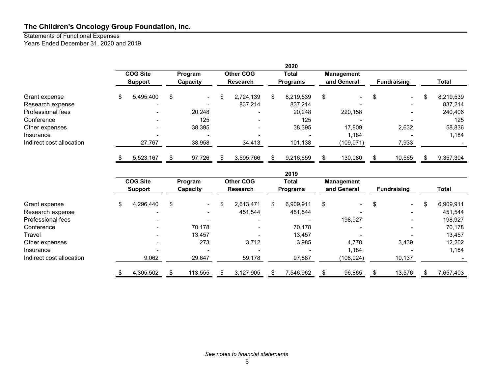## Statements of Functional Expenses

Years Ended December 31, 2020 and 2019

|                          |    |                 |    |                          |                 | 2020            |                  |         |                    |       |                   |  |  |  |  |
|--------------------------|----|-----------------|----|--------------------------|-----------------|-----------------|------------------|---------|--------------------|-------|-------------------|--|--|--|--|
|                          |    | <b>COG Site</b> |    |                          |                 |                 |                  | Program | Other COG          | Total | <b>Management</b> |  |  |  |  |
|                          |    | <b>Support</b>  |    | Capacity                 | <b>Research</b> | <b>Programs</b> | and General      |         | <b>Fundraising</b> |       | <b>Total</b>      |  |  |  |  |
| Grant expense            | \$ | 5,495,400       | \$ | $\sim$                   | \$<br>2,724,139 | \$<br>8.219.539 | \$<br>$\sim$ $-$ | S       | $\sim$             | S     | 8,219,539         |  |  |  |  |
| Research expense         |    |                 |    |                          | 837,214         | 837,214         |                  |         | $\blacksquare$     |       | 837,214           |  |  |  |  |
| Professional fees        |    |                 |    | 20,248                   |                 | 20,248          | 220,158          |         | $\,$               |       | 240,406           |  |  |  |  |
| Conference               |    |                 |    | 125                      |                 | 125             |                  |         | -                  |       | 125               |  |  |  |  |
| Other expenses           |    |                 |    | 38,395                   |                 | 38,395          | 17,809           |         | 2,632              |       | 58,836            |  |  |  |  |
| Insurance                |    |                 |    | $\overline{\phantom{a}}$ |                 |                 | 1.184            |         |                    |       | 1,184             |  |  |  |  |
| Indirect cost allocation |    | 27,767          |    | 38,958                   | 34,413          | 101,138         | (109, 071)       |         | 7,933              |       |                   |  |  |  |  |
|                          |    | 5,523,167       |    | 97,726                   | 3,595,766       | 9,216,659       | 130,080          |         | 10,565             |       | 9,357,304         |  |  |  |  |

|                          | 2019 |                 |         |                          |                                  |                 |     |                          |    |             |    |                          |    |              |
|--------------------------|------|-----------------|---------|--------------------------|----------------------------------|-----------------|-----|--------------------------|----|-------------|----|--------------------------|----|--------------|
|                          |      | <b>COG Site</b> | Program |                          | <b>Other COG</b><br><b>Total</b> |                 |     | <b>Management</b>        |    |             |    |                          |    |              |
|                          |      | <b>Support</b>  |         | Capacity                 |                                  | <b>Research</b> |     | <b>Programs</b>          |    | and General |    | <b>Fundraising</b>       |    | <b>Total</b> |
| Grant expense            | \$   | 4,296,440       | \$      | $\sim$                   | \$                               | 2,613,471       | \$  | 6.909.911                | \$ | $\sim$      | \$ | $\blacksquare$           | \$ | 6,909,911    |
| Research expense         |      |                 |         | $\overline{\phantom{0}}$ |                                  | 451.544         |     | 451,544                  |    |             |    | $\,$                     |    | 451.544      |
| Professional fees        |      |                 |         |                          |                                  |                 |     | $\overline{\phantom{0}}$ |    | 198,927     |    | $\,$                     |    | 198,927      |
| Conference               |      |                 |         | 70,178                   |                                  |                 |     | 70,178                   |    |             |    | $\,$                     |    | 70,178       |
| Travel                   |      |                 |         | 13,457                   |                                  |                 |     | 13,457                   |    |             |    | $\overline{\phantom{0}}$ |    | 13,457       |
| Other expenses           |      |                 |         | 273                      |                                  | 3,712           |     | 3,985                    |    | 4,778       |    | 3,439                    |    | 12,202       |
| Insurance                |      |                 |         |                          |                                  |                 |     | -                        |    | 1.184       |    |                          |    | 1,184        |
| Indirect cost allocation |      | 9,062           |         | 29,647                   |                                  | 59,178          |     | 97,887                   |    | (108, 024)  |    | 10,137                   |    |              |
|                          | \$   | 4,305,502       | \$      | 113,555                  |                                  | 3,127,905       | \$. | 546,962                  |    | 96,865      | \$ | 13,576                   |    | 7,657,403    |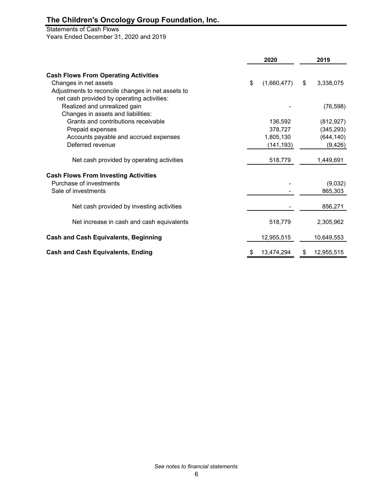## Statements of Cash Flows

Years Ended December 31, 2020 and 2019

|                                                   | 2020              | 2019             |  |  |
|---------------------------------------------------|-------------------|------------------|--|--|
| <b>Cash Flows From Operating Activities</b>       |                   |                  |  |  |
| Changes in net assets                             | \$<br>(1,660,477) | \$<br>3,338,075  |  |  |
| Adjustments to reconcile changes in net assets to |                   |                  |  |  |
| net cash provided by operating activities:        |                   |                  |  |  |
| Realized and unrealized gain                      |                   | (76, 598)        |  |  |
| Changes in assets and liabilities:                |                   |                  |  |  |
| Grants and contributions receivable               | 136,592           | (812, 927)       |  |  |
| Prepaid expenses                                  | 378,727           | (345, 293)       |  |  |
| Accounts payable and accrued expenses             | 1,805,130         | (644, 140)       |  |  |
| Deferred revenue                                  | (141, 193)        | (9, 426)         |  |  |
| Net cash provided by operating activities         | 518,779           | 1,449,691        |  |  |
|                                                   |                   |                  |  |  |
| <b>Cash Flows From Investing Activities</b>       |                   |                  |  |  |
| Purchase of investments                           |                   | (9,032)          |  |  |
| Sale of investments                               |                   | 865,303          |  |  |
| Net cash provided by investing activities         |                   | 856,271          |  |  |
| Net increase in cash and cash equivalents         | 518,779           | 2,305,962        |  |  |
| <b>Cash and Cash Equivalents, Beginning</b>       | 12,955,515        | 10,649,553       |  |  |
| <b>Cash and Cash Equivalents, Ending</b>          | \$<br>13,474,294  | \$<br>12,955,515 |  |  |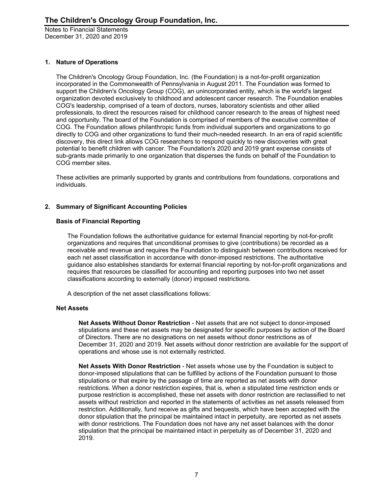#### **1. Nature of Operations**

The Children's Oncology Group Foundation, Inc. (the Foundation) is a not-for-profit organization incorporated in the Commonwealth of Pennsylvania in August 2011. The Foundation was formed to support the Children's Oncology Group (COG), an unincorporated entity, which is the world's largest organization devoted exclusively to childhood and adolescent cancer research. The Foundation enables COG's leadership, comprised of a team of doctors, nurses, laboratory scientists and other allied professionals, to direct the resources raised for childhood cancer research to the areas of highest need and opportunity. The board of the Foundation is comprised of members of the executive committee of COG. The Foundation allows philanthropic funds from individual supporters and organizations to go directly to COG and other organizations to fund their much-needed research. In an era of rapid scientific discovery, this direct link allows COG researchers to respond quickly to new discoveries with great potential to benefit children with cancer. The Foundation's 2020 and 2019 grant expense consists of sub-grants made primarily to one organization that disperses the funds on behalf of the Foundation to COG member sites.

These activities are primarily supported by grants and contributions from foundations, corporations and individuals.

#### **2. Summary of Significant Accounting Policies**

#### **Basis of Financial Reporting**

The Foundation follows the authoritative guidance for external financial reporting by not-for-profit organizations and requires that unconditional promises to give (contributions) be recorded as a receivable and revenue and requires the Foundation to distinguish between contributions received for each net asset classification in accordance with donor-imposed restrictions. The authoritative guidance also establishes standards for external financial reporting by not-for-profit organizations and requires that resources be classified for accounting and reporting purposes into two net asset classifications according to externally (donor) imposed restrictions.

A description of the net asset classifications follows:

#### **Net Assets**

**Net Assets Without Donor Restriction** - Net assets that are not subject to donor-imposed stipulations and these net assets may be designated for specific purposes by action of the Board of Directors. There are no designations on net assets without donor restrictions as of December 31, 2020 and 2019. Net assets without donor restriction are available for the support of operations and whose use is not externally restricted.

**Net Assets With Donor Restriction** - Net assets whose use by the Foundation is subject to donor-imposed stipulations that can be fulfilled by actions of the Foundation pursuant to those stipulations or that expire by the passage of time are reported as net assets with donor restrictions. When a donor restriction expires, that is, when a stipulated time restriction ends or purpose restriction is accomplished, these net assets with donor restriction are reclassified to net assets without restriction and reported in the statements of activities as net assets released from restriction. Additionally, fund receive as gifts and bequests, which have been accepted with the donor stipulation that the principal be maintained intact in perpetuity, are reported as net assets with donor restrictions. The Foundation does not have any net asset balances with the donor stipulation that the principal be maintained intact in perpetuity as of December 31, 2020 and 2019.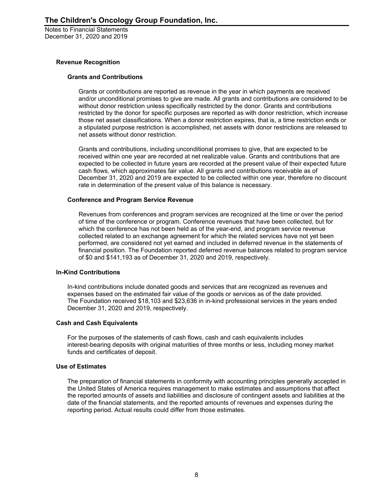#### **Revenue Recognition**

#### **Grants and Contributions**

Grants or contributions are reported as revenue in the year in which payments are received and/or unconditional promises to give are made. All grants and contributions are considered to be without donor restriction unless specifically restricted by the donor. Grants and contributions restricted by the donor for specific purposes are reported as with donor restriction, which increase those net asset classifications. When a donor restriction expires, that is, a time restriction ends or a stipulated purpose restriction is accomplished, net assets with donor restrictions are released to net assets without donor restriction.

Grants and contributions, including unconditional promises to give, that are expected to be received within one year are recorded at net realizable value. Grants and contributions that are expected to be collected in future years are recorded at the present value of their expected future cash flows, which approximates fair value. All grants and contributions receivable as of December 31, 2020 and 2019 are expected to be collected within one year, therefore no discount rate in determination of the present value of this balance is necessary.

#### **Conference and Program Service Revenue**

Revenues from conferences and program services are recognized at the time or over the period of time of the conference or program. Conference revenues that have been collected, but for which the conference has not been held as of the year-end, and program service revenue collected related to an exchange agreement for which the related services have not yet been performed, are considered not yet earned and included in deferred revenue in the statements of financial position. The Foundation reported deferred revenue balances related to program service of \$0 and \$141,193 as of December 31, 2020 and 2019, respectively.

#### **In-Kind Contributions**

In-kind contributions include donated goods and services that are recognized as revenues and expenses based on the estimated fair value of the goods or services as of the date provided. The Foundation received \$18,103 and \$23,636 in in-kind professional services in the years ended December 31, 2020 and 2019, respectively.

#### **Cash and Cash Equivalents**

For the purposes of the statements of cash flows, cash and cash equivalents includes interest-bearing deposits with original maturities of three months or less, including money market funds and certificates of deposit.

#### **Use of Estimates**

The preparation of financial statements in conformity with accounting principles generally accepted in the United States of America requires management to make estimates and assumptions that affect the reported amounts of assets and liabilities and disclosure of contingent assets and liabilities at the date of the financial statements, and the reported amounts of revenues and expenses during the reporting period. Actual results could differ from those estimates.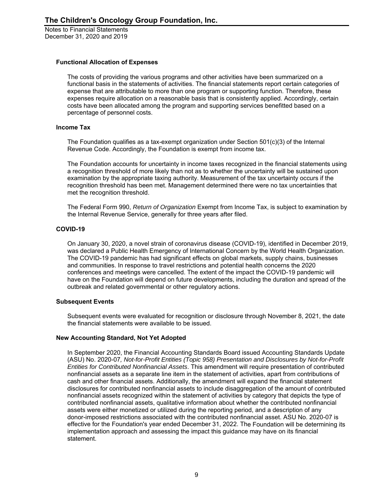#### **Functional Allocation of Expenses**

The costs of providing the various programs and other activities have been summarized on a functional basis in the statements of activities. The financial statements report certain categories of expense that are attributable to more than one program or supporting function. Therefore, these expenses require allocation on a reasonable basis that is consistently applied. Accordingly, certain costs have been allocated among the program and supporting services benefitted based on a percentage of personnel costs.

#### **Income Tax**

The Foundation qualifies as a tax-exempt organization under Section 501(c)(3) of the Internal Revenue Code. Accordingly, the Foundation is exempt from income tax.

The Foundation accounts for uncertainty in income taxes recognized in the financial statements using a recognition threshold of more likely than not as to whether the uncertainty will be sustained upon examination by the appropriate taxing authority. Measurement of the tax uncertainty occurs if the recognition threshold has been met. Management determined there were no tax uncertainties that met the recognition threshold.

The Federal Form 990, *Return of Organization* Exempt from Income Tax, is subject to examination by the Internal Revenue Service, generally for three years after filed.

#### **COVID-19**

On January 30, 2020, a novel strain of coronavirus disease (COVID-19), identified in December 2019, was declared a Public Health Emergency of International Concern by the World Health Organization. The COVID-19 pandemic has had significant effects on global markets, supply chains, businesses and communities. In response to travel restrictions and potential health concerns the 2020 conferences and meetings were cancelled. The extent of the impact the COVID-19 pandemic will have on the Foundation will depend on future developments, including the duration and spread of the outbreak and related governmental or other regulatory actions.

#### **Subsequent Events**

Subsequent events were evaluated for recognition or disclosure through November 8, 2021, the date the financial statements were available to be issued.

#### **New Accounting Standard, Not Yet Adopted**

In September 2020, the Financial Accounting Standards Board issued Accounting Standards Update (ASU) No. 2020-07*, Not-for-Profit Entities (Topic 958) Presentation and Disclosures by Not-for-Profit Entities for Contributed Nonfinancial Assets*. This amendment will require presentation of contributed nonfinancial assets as a separate line item in the statement of activities, apart from contributions of cash and other financial assets. Additionally, the amendment will expand the financial statement disclosures for contributed nonfinancial assets to include disaggregation of the amount of contributed nonfinancial assets recognized within the statement of activities by category that depicts the type of contributed nonfinancial assets, qualitative information about whether the contributed nonfinancial assets were either monetized or utilized during the reporting period, and a description of any donor-imposed restrictions associated with the contributed nonfinancial asset. ASU No. 2020-07 is effective for the Foundation's year ended December 31, 2022. The Foundation will be determining its implementation approach and assessing the impact this guidance may have on its financial statement.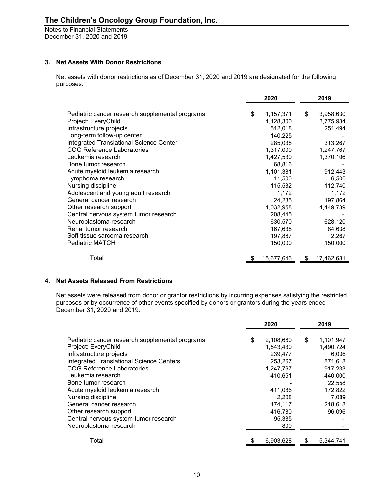#### **3. Net Assets With Donor Restrictions**

Net assets with donor restrictions as of December 31, 2020 and 2019 are designated for the following purposes:

|                                                 | 2020            | 2019             |
|-------------------------------------------------|-----------------|------------------|
| Pediatric cancer research supplemental programs | \$<br>1,157,371 | \$<br>3,958,630  |
| Project: EveryChild                             | 4,128,300       | 3,775,934        |
| Infrastructure projects                         | 512,018         | 251,494          |
| Long-term follow-up center                      | 140,225         |                  |
| <b>Integrated Translational Science Center</b>  | 285,038         | 313,267          |
| <b>COG Reference Laboratories</b>               | 1,317,000       | 1,247,767        |
| Leukemia research                               | 1,427,530       | 1,370,106        |
| Bone tumor research                             | 68,816          |                  |
| Acute myeloid leukemia research                 | 1,101,381       | 912,443          |
| Lymphoma research                               | 11,500          | 6,500            |
| Nursing discipline                              | 115,532         | 112,740          |
| Adolescent and young adult research             | 1,172           | 1,172            |
| General cancer research                         | 24,285          | 197,864          |
| Other research support                          | 4,032,958       | 4,449,739        |
| Central nervous system tumor research           | 208,445         |                  |
| Neuroblastoma research                          | 630,570         | 628,120          |
| Renal tumor research                            | 167,638         | 84,638           |
| Soft tissue sarcoma research                    | 197,867         | 2,267            |
| <b>Pediatric MATCH</b>                          | 150,000         | 150,000          |
|                                                 |                 |                  |
| Total                                           | 15,677,646      | \$<br>17,462,681 |

#### **4. Net Assets Released From Restrictions**

Net assets were released from donor or grantor restrictions by incurring expenses satisfying the restricted purposes or by occurrence of other events specified by donors or grantors during the years ended December 31, 2020 and 2019:

|                                                 |   | 2020      | 2019            |
|-------------------------------------------------|---|-----------|-----------------|
| Pediatric cancer research supplemental programs | S | 2,108,660 | \$<br>1,101,947 |
| Project: EveryChild                             |   | 1,543,430 | 1,490,724       |
| Infrastructure projects                         |   | 239,477   | 6,036           |
| <b>Integrated Translational Science Centers</b> |   | 253,267   | 871,618         |
| <b>COG Reference Laboratories</b>               |   | 1,247,767 | 917,233         |
| Leukemia research                               |   | 410,651   | 440,000         |
| Bone tumor research                             |   |           | 22,558          |
| Acute myeloid leukemia research                 |   | 411,086   | 172,822         |
| Nursing discipline                              |   | 2,208     | 7,089           |
| General cancer research                         |   | 174,117   | 218,618         |
| Other research support                          |   | 416,780   | 96,096          |
| Central nervous system tumor research           |   | 95,385    |                 |
| Neuroblastoma research                          |   | 800       |                 |
| Total                                           |   | 6,903,628 | \$<br>5,344,741 |